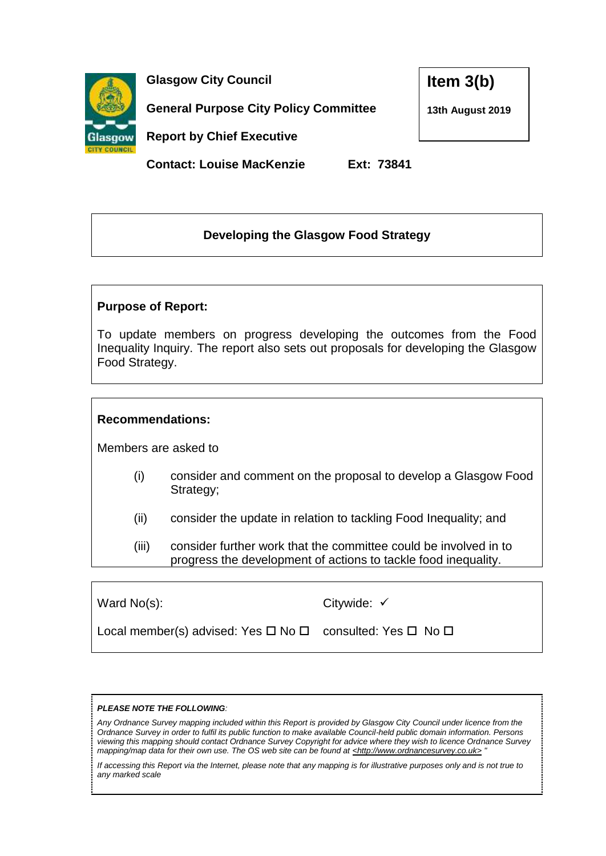

**Glasgow City Council**

**General Purpose City Policy Committee** 

**Item 3(b)**

**13th August 2019**

**Report by Chief Executive**

**Contact: Louise MacKenzie Ext: 73841**

# **Developing the Glasgow Food Strategy**

## **Purpose of Report:**

To update members on progress developing the outcomes from the Food Inequality Inquiry. The report also sets out proposals for developing the Glasgow Food Strategy.

## **Recommendations:**

Members are asked to

- (i) consider and comment on the proposal to develop a Glasgow Food Strategy;
- (ii) consider the update in relation to tackling Food Inequality; and
- (iii) consider further work that the committee could be involved in to progress the development of actions to tackle food inequality.

| Ward No(s): |  |
|-------------|--|

Citywide: √

| Local member(s) advised: Yes $\Box$ No $\Box$ consulted: Yes $\Box$ No $\Box$ |
|-------------------------------------------------------------------------------|
|-------------------------------------------------------------------------------|

#### *PLEASE NOTE THE FOLLOWING:*

*Any Ordnance Survey mapping included within this Report is provided by Glasgow City Council under licence from the Ordnance Survey in order to fulfil its public function to make available Council-held public domain information. Persons viewing this mapping should contact Ordnance Survey Copyright for advice where they wish to licence Ordnance Survey mapping/map data for their own use. The OS web site can be found at <http://www.ordnancesurvey.co.uk> "*

*If accessing this Report via the Internet, please note that any mapping is for illustrative purposes only and is not true to any marked scale*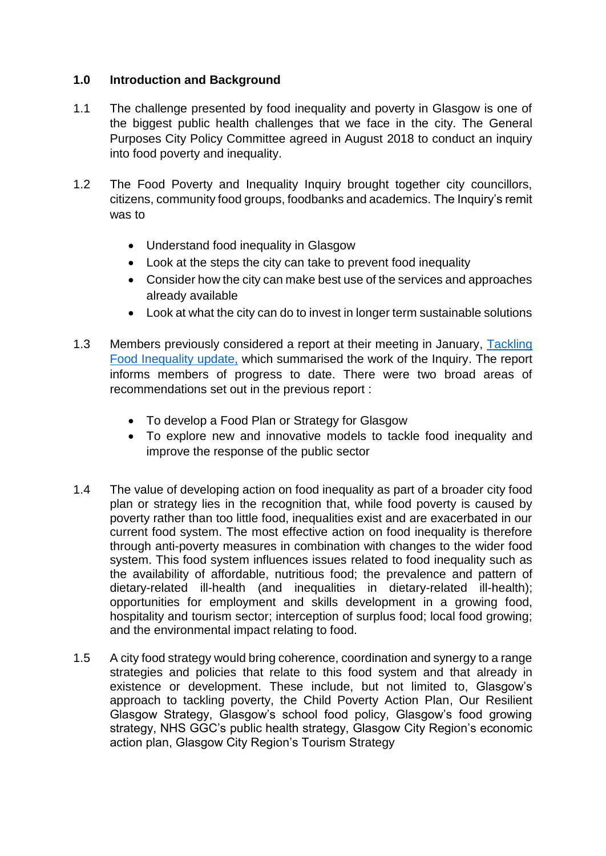### **1.0 Introduction and Background**

- 1.1 The challenge presented by food inequality and poverty in Glasgow is one of the biggest public health challenges that we face in the city. The General Purposes City Policy Committee agreed in August 2018 to conduct an inquiry into food poverty and inequality.
- 1.2 The Food Poverty and Inequality Inquiry brought together city councillors, citizens, community food groups, foodbanks and academics. The Inquiry's remit was to
	- Understand food inequality in Glasgow
	- Look at the steps the city can take to prevent food inequality
	- Consider how the city can make best use of the services and approaches already available
	- Look at what the city can do to invest in longer term sustainable solutions
- 1.3 Members previously considered a report at their meeting in January, [Tackling](https://www.glasgow.gov.uk/councillorsandcommittees/submissiondocuments.asp?submissionid=91429)  [Food Inequality update,](https://www.glasgow.gov.uk/councillorsandcommittees/submissiondocuments.asp?submissionid=91429) which summarised the work of the Inquiry. The report informs members of progress to date. There were two broad areas of recommendations set out in the previous report :
	- To develop a Food Plan or Strategy for Glasgow
	- To explore new and innovative models to tackle food inequality and improve the response of the public sector
- 1.4 The value of developing action on food inequality as part of a broader city food plan or strategy lies in the recognition that, while food poverty is caused by poverty rather than too little food, inequalities exist and are exacerbated in our current food system. The most effective action on food inequality is therefore through anti-poverty measures in combination with changes to the wider food system. This food system influences issues related to food inequality such as the availability of affordable, nutritious food; the prevalence and pattern of dietary-related ill-health (and inequalities in dietary-related ill-health); opportunities for employment and skills development in a growing food, hospitality and tourism sector; interception of surplus food; local food growing; and the environmental impact relating to food.
- 1.5 A city food strategy would bring coherence, coordination and synergy to a range strategies and policies that relate to this food system and that already in existence or development. These include, but not limited to, Glasgow's approach to tackling poverty, the Child Poverty Action Plan, Our Resilient Glasgow Strategy, Glasgow's school food policy, Glasgow's food growing strategy, NHS GGC's public health strategy, Glasgow City Region's economic action plan, Glasgow City Region's Tourism Strategy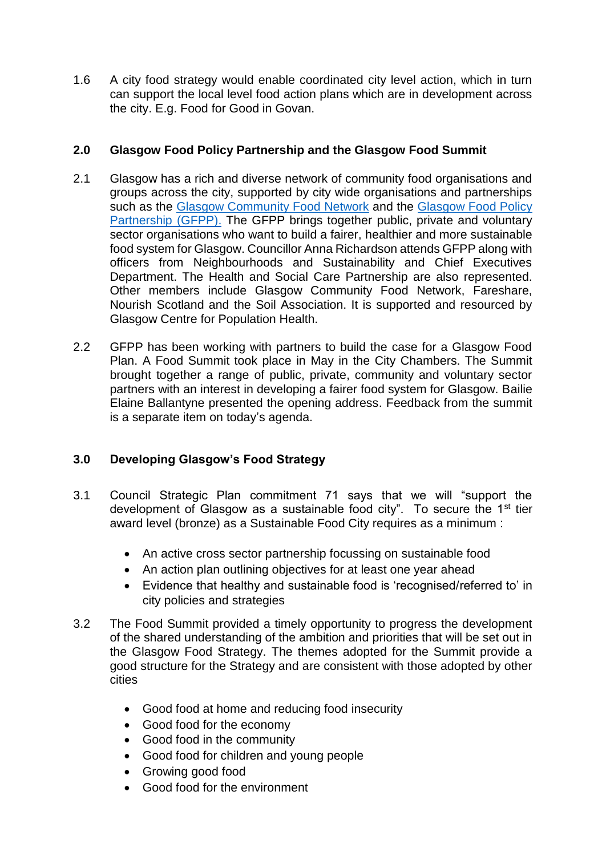1.6 A city food strategy would enable coordinated city level action, which in turn can support the local level food action plans which are in development across the city. E.g. Food for Good in Govan.

### **2.0 Glasgow Food Policy Partnership and the Glasgow Food Summit**

- 2.1 Glasgow has a rich and diverse network of community food organisations and groups across the city, supported by city wide organisations and partnerships such as the [Glasgow Community Food Network](https://glasgowfood.net/) and the Glasgow Food Policy [Partnership \(GFPP\).](http://goodfoodforall.co.uk/) The GFPP brings together public, private and voluntary sector organisations who want to build a fairer, healthier and more sustainable food system for Glasgow. Councillor Anna Richardson attends GFPP along with officers from Neighbourhoods and Sustainability and Chief Executives Department. The Health and Social Care Partnership are also represented. Other members include Glasgow Community Food Network, Fareshare, Nourish Scotland and the Soil Association. It is supported and resourced by Glasgow Centre for Population Health.
- 2.2 GFPP has been working with partners to build the case for a Glasgow Food Plan. A Food Summit took place in May in the City Chambers. The Summit brought together a range of public, private, community and voluntary sector partners with an interest in developing a fairer food system for Glasgow. Bailie Elaine Ballantyne presented the opening address. Feedback from the summit is a separate item on today's agenda.

## **3.0 Developing Glasgow's Food Strategy**

- 3.1 Council Strategic Plan commitment 71 says that we will "support the development of Glasgow as a sustainable food city". To secure the  $1<sup>st</sup>$  tier award level (bronze) as a Sustainable Food City requires as a minimum :
	- An active cross sector partnership focussing on sustainable food
	- An action plan outlining objectives for at least one year ahead
	- Evidence that healthy and sustainable food is 'recognised/referred to' in city policies and strategies
- 3.2 The Food Summit provided a timely opportunity to progress the development of the shared understanding of the ambition and priorities that will be set out in the Glasgow Food Strategy. The themes adopted for the Summit provide a good structure for the Strategy and are consistent with those adopted by other cities
	- Good food at home and reducing food insecurity
	- Good food for the economy
	- Good food in the community
	- Good food for children and young people
	- Growing good food
	- Good food for the environment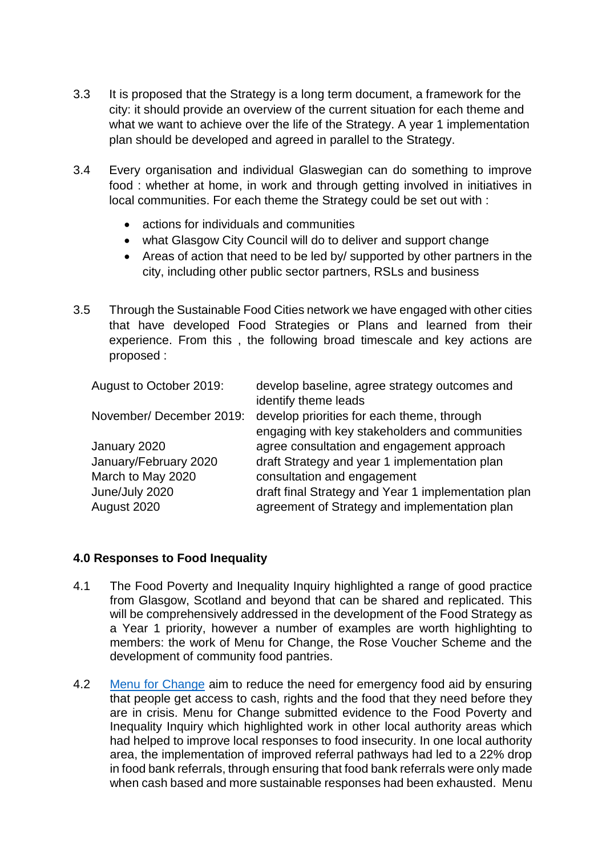- 3.3 It is proposed that the Strategy is a long term document, a framework for the city: it should provide an overview of the current situation for each theme and what we want to achieve over the life of the Strategy. A year 1 implementation plan should be developed and agreed in parallel to the Strategy.
- 3.4 Every organisation and individual Glaswegian can do something to improve food : whether at home, in work and through getting involved in initiatives in local communities. For each theme the Strategy could be set out with :
	- actions for individuals and communities
	- what Glasgow City Council will do to deliver and support change
	- Areas of action that need to be led by/ supported by other partners in the city, including other public sector partners, RSLs and business
- 3.5 Through the Sustainable Food Cities network we have engaged with other cities that have developed Food Strategies or Plans and learned from their experience. From this , the following broad timescale and key actions are proposed :

| August to October 2019: | develop baseline, agree strategy outcomes and<br>identify theme leads |
|-------------------------|-----------------------------------------------------------------------|
| November/December 2019: | develop priorities for each theme, through                            |
|                         | engaging with key stakeholders and communities                        |
| January 2020            | agree consultation and engagement approach                            |
| January/February 2020   | draft Strategy and year 1 implementation plan                         |
| March to May 2020       | consultation and engagement                                           |
| June/July 2020          | draft final Strategy and Year 1 implementation plan                   |
| August 2020             | agreement of Strategy and implementation plan                         |

#### **4.0 Responses to Food Inequality**

- 4.1 The Food Poverty and Inequality Inquiry highlighted a range of good practice from Glasgow, Scotland and beyond that can be shared and replicated. This will be comprehensively addressed in the development of the Food Strategy as a Year 1 priority, however a number of examples are worth highlighting to members: the work of Menu for Change, the Rose Voucher Scheme and the development of community food pantries.
- 4.2 [Menu for Change](https://menuforchange.org.uk/) aim to reduce the need for emergency food aid by ensuring that people get access to cash, rights and the food that they need before they are in crisis. Menu for Change submitted evidence to the Food Poverty and Inequality Inquiry which highlighted work in other local authority areas which had helped to improve local responses to food insecurity. In one local authority area, the implementation of improved referral pathways had led to a 22% drop in food bank referrals, through ensuring that food bank referrals were only made when cash based and more sustainable responses had been exhausted. Menu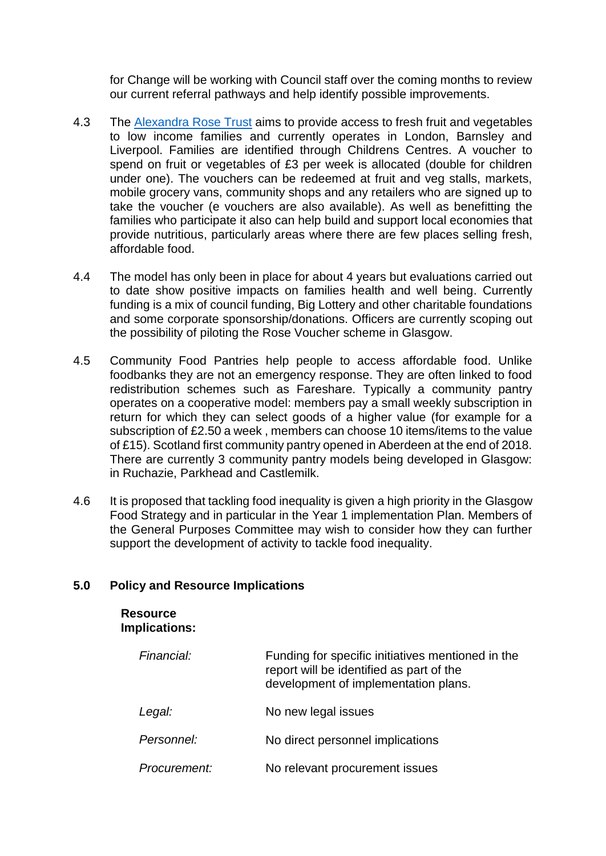for Change will be working with Council staff over the coming months to review our current referral pathways and help identify possible improvements.

- 4.3 The [Alexandra Rose Trust](https://www.alexandrarose.org.uk/) aims to provide access to fresh fruit and vegetables to low income families and currently operates in London, Barnsley and Liverpool. Families are identified through Childrens Centres. A voucher to spend on fruit or vegetables of £3 per week is allocated (double for children under one). The vouchers can be redeemed at fruit and veg stalls, markets, mobile grocery vans, community shops and any retailers who are signed up to take the voucher (e vouchers are also available). As well as benefitting the families who participate it also can help build and support local economies that provide nutritious, particularly areas where there are few places selling fresh, affordable food.
- 4.4 The model has only been in place for about 4 years but evaluations carried out to date show positive impacts on families health and well being. Currently funding is a mix of council funding, Big Lottery and other charitable foundations and some corporate sponsorship/donations. Officers are currently scoping out the possibility of piloting the Rose Voucher scheme in Glasgow.
- 4.5 Community Food Pantries help people to access affordable food. Unlike foodbanks they are not an emergency response. They are often linked to food redistribution schemes such as Fareshare. Typically a community pantry operates on a cooperative model: members pay a small weekly subscription in return for which they can select goods of a higher value (for example for a subscription of £2.50 a week , members can choose 10 items/items to the value of £15). Scotland first community pantry opened in Aberdeen at the end of 2018. There are currently 3 community pantry models being developed in Glasgow: in Ruchazie, Parkhead and Castlemilk.
- 4.6 It is proposed that tackling food inequality is given a high priority in the Glasgow Food Strategy and in particular in the Year 1 implementation Plan. Members of the General Purposes Committee may wish to consider how they can further support the development of activity to tackle food inequality.

#### **5.0 Policy and Resource Implications**

**Resource** 

| <b>Implications:</b> |                                                                                                                                       |
|----------------------|---------------------------------------------------------------------------------------------------------------------------------------|
| Financial:           | Funding for specific initiatives mentioned in the<br>report will be identified as part of the<br>development of implementation plans. |
| Legal:               | No new legal issues                                                                                                                   |
| Personnel:           | No direct personnel implications                                                                                                      |
| Procurement:         | No relevant procurement issues                                                                                                        |
|                      |                                                                                                                                       |